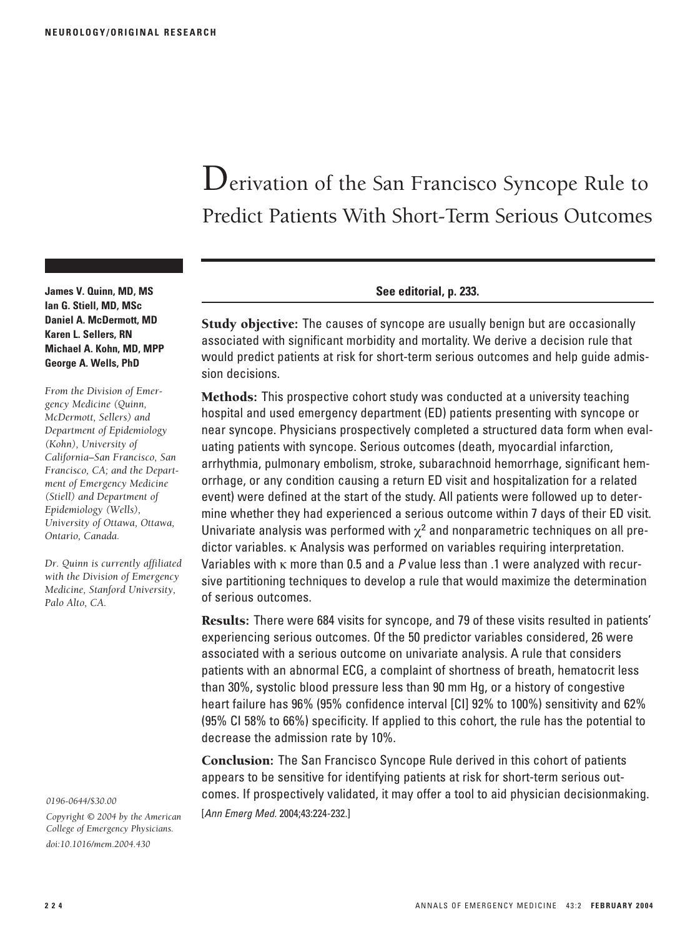# Derivation of the San Francisco Syncope Rule to Predict Patients With Short-Term Serious Outcomes

# **See editorial, p. 233.**

Study objective: The causes of syncope are usually benign but are occasionally associated with significant morbidity and mortality. We derive a decision rule that would predict patients at risk for short-term serious outcomes and help guide admission decisions.

Methods: This prospective cohort study was conducted at a university teaching hospital and used emergency department (ED) patients presenting with syncope or near syncope. Physicians prospectively completed a structured data form when evaluating patients with syncope. Serious outcomes (death, myocardial infarction, arrhythmia, pulmonary embolism, stroke, subarachnoid hemorrhage, significant hemorrhage, or any condition causing a return ED visit and hospitalization for a related event) were defined at the start of the study. All patients were followed up to determine whether they had experienced a serious outcome within 7 days of their ED visit. Univariate analysis was performed with  $\chi^2$  and nonparametric techniques on all pre- $\frac{d}{dx}$  dictor variables.  $\kappa$  Analysis was performed on variables requiring interpretation. Variables with  $\kappa$  more than 0.5 and a P value less than .1 were analyzed with recursive partitioning techniques to develop a rule that would maximize the determination of serious outcomes.

Results: There were 684 visits for syncope, and 79 of these visits resulted in patients' experiencing serious outcomes. Of the 50 predictor variables considered, 26 were associated with a serious outcome on univariate analysis. A rule that considers patients with an abnormal ECG, a complaint of shortness of breath, hematocrit less than 30%, systolic blood pressure less than 90 mm Hg, or a history of congestive heart failure has 96% (95% confidence interval [CI] 92% to 100%) sensitivity and 62% (95% CI 58% to 66%) specificity. If applied to this cohort, the rule has the potential to decrease the admission rate by 10%.

Conclusion: The San Francisco Syncope Rule derived in this cohort of patients appears to be sensitive for identifying patients at risk for short-term serious outcomes. If prospectively validated, it may offer a tool to aid physician decisionmaking. [Ann Emerg Med. 2004;43:224-232.]

**James V. Quinn, MD, MS Ian G. Stiell, MD, MSc Daniel A. McDermott, MD Karen L. Sellers, RN Michael A. Kohn, MD, MPP George A. Wells, PhD**

*From the Division of Emergency Medicine (Quinn, McDermott, Sellers) and Department of Epidemiology (Kohn), University of California–San Francisco, San Francisco, CA; and the Department of Emergency Medicine (Stiell) and Department of Epidemiology (Wells), University of Ottawa, Ottawa, Ontario, Canada.*

*Dr. Quinn is currently affiliated with the Division of Emergency Medicine, Stanford University, Palo Alto, CA.*

#### *0196-0644/\$30.00*

*Copyright © 2004 by the American College of Emergency Physicians. doi:10.1016/mem.2004.430*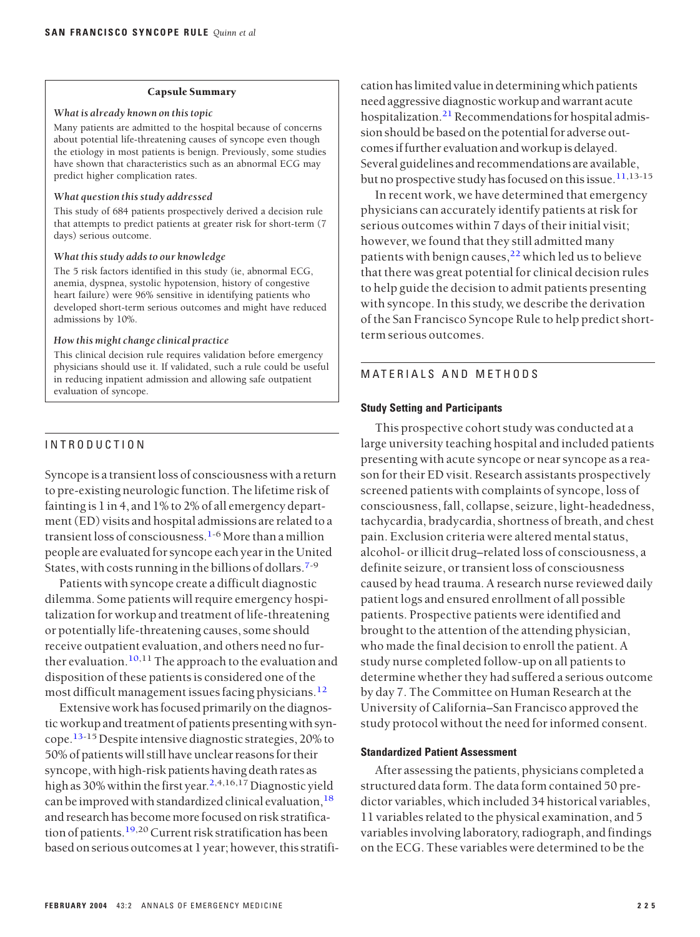#### Capsule Summary

## *What is already known on this topic*

Many patients are admitted to the hospital because of concerns about potential life-threatening causes of syncope even though the etiology in most patients is benign. Previously, some studies have shown that characteristics such as an abnormal ECG may predict higher complication rates.

#### *What question this study addressed*

This study of 684 patients prospectively derived a decision rule that attempts to predict patients at greater risk for short-term (7 days) serious outcome.

## *What this study adds to our knowledge*

The 5 risk factors identified in this study (ie, abnormal ECG, anemia, dyspnea, systolic hypotension, history of congestive heart failure) were 96% sensitive in identifying patients who developed short-term serious outcomes and might have reduced admissions by 10%.

## *How this might change clinical practice*

This clinical decision rule requires validation before emergency physicians should use it. If validated, such a rule could be useful in reducing inpatient admission and allowing safe outpatient evaluation of syncope.

# INTRODUCTION

Syncope is a transient loss of consciousness with a return to pre-existing neurologic function. The lifetime risk of fainting is 1 in 4, and 1% to 2% of all emergency department (ED) visits and hospital admissions are related to a transient loss of consciousness.<sup>[1-](#page-7-0)6</sup> More than a million people are evaluated for syncope each year in the United States, with costs running in the billions of dollars.<sup>[7-9](#page-7-0)</sup>

Patients with syncope create a difficult diagnostic dilemma. Some patients will require emergency hospitalization for workup and treatment of life-threatening or potentially life-threatening causes, some should receive outpatient evaluation, and others need no fur-ther evaluation.<sup>[10,](#page-7-0)11</sup> The approach to the evaluation and disposition of these patients is considered one of the most difficult management issues facing physicians.<sup>[12](#page-7-0)</sup>

Extensive work has focused primarily on the diagnostic workup and treatment of patients presenting with syncope.[13-](#page-7-0)15Despite intensive diagnostic strategies, 20%to 50% of patients will still have unclear reasons for their syncope, with high-risk patients having death rates as high as 30% within the first year.<sup>[2,](#page-7-0)4,16,17</sup> Diagnostic yield can be improved with standardized clinical evaluation, <sup>[18](#page-7-0)</sup> and research has become more focused on risk stratifica-tion of patients.<sup>[19,](#page-7-0)20</sup> Current risk stratification has been based on serious outcomes at 1 year; however, this stratifi-

cation has limited value in determining which patients need aggressive diagnostic workup and warrant acute hospitalization.<sup>[21](#page-7-0)</sup> Recommendations for hospital admission should be based on the potential for adverse outcomes if further evaluation and workup is delayed. Several guidelines and recommendations are available, but no prospective study has focused on this issue.<sup>[11,1](#page-7-0)3-15</sup>

In recent work, we have determined that emergency physicians can accurately identify patients at risk for serious outcomes within 7 days of their initial visit; however, we found that they still admitted many patients with benign causes,<sup>[22](#page-7-0)</sup> which led us to believe that there was great potential for clinical decision rules to help guide the decision to admit patients presenting with syncope. In this study, we describe the derivation of the San Francisco Syncope Rule to help predict shortterm serious outcomes.

# MATERIALS AND METHODS

## **Study Setting and Participants**

This prospective cohort study was conducted at a large university teaching hospital and included patients presenting with acute syncope or near syncope as a reason for their ED visit. Research assistants prospectively screened patients with complaints of syncope, loss of consciousness, fall, collapse, seizure, light-headedness, tachycardia, bradycardia, shortness of breath, and chest pain. Exclusion criteria were altered mental status, alcohol- or illicit drug–related loss of consciousness, a definite seizure, or transient loss of consciousness caused by head trauma. A research nurse reviewed daily patient logs and ensured enrollment of all possible patients. Prospective patients were identified and brought to the attention of the attending physician, who made the final decision to enroll the patient. A study nurse completed follow-up on all patients to determine whether they had suffered a serious outcome by day 7. The Committee on Human Research at the University of California–San Francisco approved the study protocol without the need for informed consent.

## **Standardized Patient Assessment**

After assessing the patients, physicians completed a structured data form. The data form contained 50 predictor variables, which included 34 historical variables, 11 variables related to the physical examination, and 5 variables involving laboratory, radiograph, and findings on the ECG. These variables were determined to be the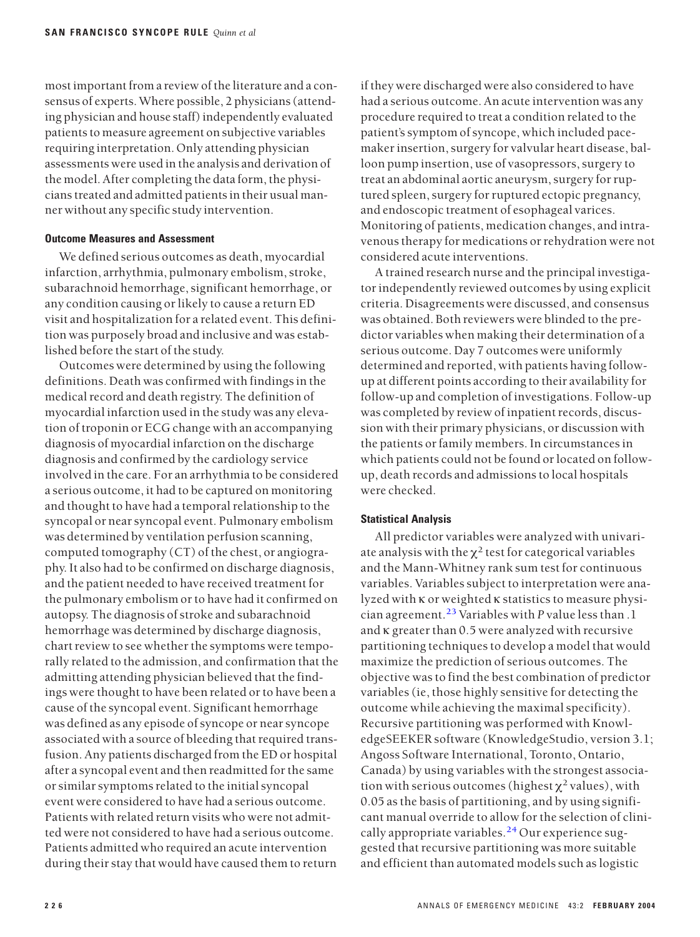most important from a review of the literature and a consensus of experts. Where possible, 2 physicians (attending physician and house staff) independently evaluated patients to measure agreement on subjective variables requiring interpretation. Only attending physician assessments were used in the analysis and derivation of the model. After completing the data form, the physicians treated and admitted patients in their usual manner without any specific study intervention.

## **Outcome Measures and Assessment**

We defined serious outcomes as death, myocardial infarction, arrhythmia, pulmonary embolism, stroke, subarachnoid hemorrhage, significant hemorrhage, or any condition causing or likely to cause a return ED visit and hospitalization for a related event. This definition was purposely broad and inclusive and was established before the start of the study.

Outcomes were determined by using the following definitions. Death was confirmed with findings in the medical record and death registry. The definition of myocardial infarction used in the study was any elevation of troponin or ECG change with an accompanying diagnosis of myocardial infarction on the discharge diagnosis and confirmed by the cardiology service involved in the care. For an arrhythmia to be considered a serious outcome, it had to be captured on monitoring and thought to have had a temporal relationship to the syncopal or near syncopal event. Pulmonary embolism was determined by ventilation perfusion scanning, computed tomography (CT) of the chest, or angiography. It also had to be confirmed on discharge diagnosis, and the patient needed to have received treatment for the pulmonary embolism or to have had it confirmed on autopsy. The diagnosis of stroke and subarachnoid hemorrhage was determined by discharge diagnosis, chart review to see whether the symptoms were temporally related to the admission, and confirmation that the admitting attending physician believed that the findings were thought to have been related or to have been a cause of the syncopal event. Significant hemorrhage was defined as any episode of syncope or near syncope associated with a source of bleeding that required transfusion. Any patients discharged from the ED or hospital after a syncopal event and then readmitted for the same or similar symptoms related to the initial syncopal event were considered to have had a serious outcome. Patients with related return visits who were not admitted were not considered to have had a serious outcome. Patients admitted who required an acute intervention during their stay that would have caused them to return

if they were discharged were also considered to have had a serious outcome. An acute intervention was any procedure required to treat a condition related to the patient's symptom of syncope, which included pacemaker insertion, surgery for valvular heart disease, balloon pump insertion, use of vasopressors, surgery to treat an abdominal aortic aneurysm, surgery for ruptured spleen, surgery for ruptured ectopic pregnancy, and endoscopic treatment of esophageal varices. Monitoring of patients, medication changes, and intravenous therapy for medications or rehydration were not considered acute interventions.

A trained research nurse and the principal investigator independently reviewed outcomes by using explicit criteria. Disagreements were discussed, and consensus was obtained. Both reviewers were blinded to the predictor variables when making their determination of a serious outcome. Day 7 outcomes were uniformly determined and reported, with patients having followup at different points according to their availability for follow-up and completion of investigations. Follow-up was completed by review of inpatient records, discussion with their primary physicians, or discussion with the patients or family members. In circumstances in which patients could not be found or located on followup, death records and admissions to local hospitals were checked.

# **Statistical Analysis**

All predictor variables were analyzed with univariate analysis with the  $\chi^2$  test for categorical variables and the Mann-Whitney rank sum test for continuous variables. Variables subject to interpretation were analyzed with  $\kappa$  or weighted  $\kappa$  statistics to measure physician agreement.[23](#page-7-0) Variables with *P* value lessthan .1 and  $\kappa$  greater than 0.5 were analyzed with recursive partitioning techniques to develop a model that would maximize the prediction of serious outcomes. The objective was to find the best combination of predictor variables (ie, those highly sensitive for detecting the outcome while achieving the maximal specificity). Recursive partitioning was performed with KnowledgeSEEKER software (KnowledgeStudio, version 3.1; Angoss Software International, Toronto, Ontario, Canada) by using variables with the strongest association with serious outcomes (highest  $\chi^2$  values), with 0.05 as the basis of partitioning, and by using significant manual override to allow for the selection of clini-cally appropriate variables.<sup>[24](#page-7-0)</sup> Our experience suggested that recursive partitioning was more suitable and efficient than automated models such as logistic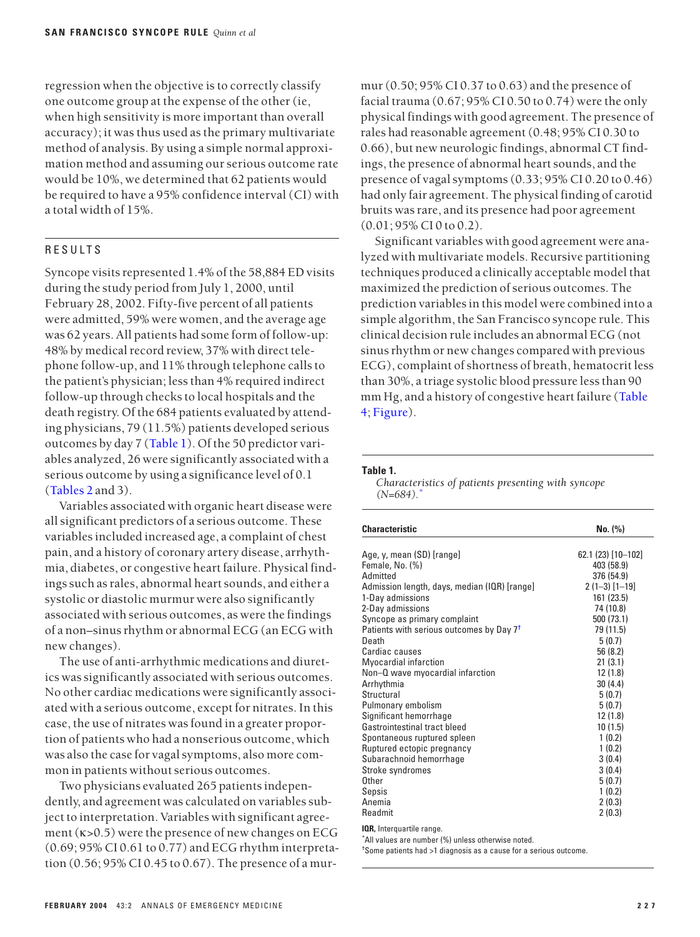regression when the objective is to correctly classify one outcome group at the expense of the other (ie, when high sensitivity is more important than overall accuracy); it was thus used as the primary multivariate method of analysis. By using a simple normal approximation method and assuming our serious outcome rate would be 10%, we determined that 62 patients would be required to have a 95% confidence interval (CI) with a total width of 15%.

# RESULTS

Syncope visits represented 1.4% of the 58,884 ED visits during the study period from July 1, 2000, until February 28, 2002. Fifty-five percent of all patients were admitted, 59% were women, and the average age was 62 years. All patients had some form of follow-up: 48% by medical record review, 37% with direct telephone follow-up, and 11% through telephone calls to the patient's physician; less than 4% required indirect follow-up through checks to local hospitals and the death registry. Of the 684 patients evaluated by attending physicians, 79 (11.5%) patients developed serious outcomes by day 7 (Table 1). Of the 50 predictor variables analyzed, 26 were significantly associated with a serious outcome by using a significance level of 0.1 ([Tables](#page-4-0) 2 and 3).

Variables associated with organic heart disease were all significant predictors of a serious outcome. These variables included increased age, a complaint of chest pain, and a history of coronary artery disease, arrhythmia, diabetes, or congestive heart failure. Physical findings such as rales, abnormal heart sounds, and either a systolic or diastolic murmur were also significantly associated with serious outcomes, as were the findings of a non–sinus rhythm or abnormal ECG (an ECG with new changes).

The use of anti-arrhythmic medications and diuretics was significantly associated with serious outcomes. No other cardiac medications were significantly associated with a serious outcome, except for nitrates. In this case, the use of nitrates was found in a greater proportion of patients who had a nonserious outcome, which was also the case for vagal symptoms, also more common in patients without serious outcomes.

Two physicians evaluated 265 patients independently, and agreement was calculated on variables subject to interpretation. Variables with significant agreement  $(k>0.5)$  were the presence of new changes on ECG (0.69; 95% CI 0.61 to 0.77) and ECG rhythm interpretation (0.56; 95% CI 0.45 to 0.67). The presence of a mur-

mur (0.50; 95% CI 0.37 to 0.63) and the presence of facial trauma (0.67; 95% CI 0.50 to 0.74) were the only physical findings with good agreement. The presence of rales had reasonable agreement (0.48; 95% CI 0.30 to 0.66), but new neurologic findings, abnormal CT findings, the presence of abnormal heart sounds, and the presence of vagal symptoms (0.33; 95% CI 0.20 to 0.46) had only fair agreement. The physical finding of carotid bruits was rare, and its presence had poor agreement (0.01; 95% CI 0 to 0.2).

Significant variables with good agreement were analyzed with multivariate models. Recursive partitioning techniques produced a clinically acceptable model that maximized the prediction of serious outcomes. The prediction variables in this model were combined into a simple algorithm, the San Francisco syncope rule. This clinical decision rule includes an abnormal ECG (not sinus rhythm or new changes compared with previous ECG), complaint of shortness of breath, hematocrit less than 30%, a triage systolic blood pressure less than 90 mm Hg, and a history of congestive heart failure ([Table](#page-4-0) [4;](#page-4-0) [Figure\)](#page-5-0).

#### **Table 1.**

*Characteristics of patients presenting with syncope*  $(N=684)$ .

| <b>Characteristic</b>                                | No. (%)            |  |
|------------------------------------------------------|--------------------|--|
|                                                      |                    |  |
| Age, y, mean (SD) [range]                            | $62.1(23)[10-102]$ |  |
| Female, No. (%)                                      | 403 (58.9)         |  |
| Admitted                                             | 376 (54.9)         |  |
| Admission length, days, median (IQR) [range]         | $2(1-3)$ [1-19]    |  |
| 1-Day admissions                                     | 161 (23.5)         |  |
| 2-Day admissions                                     | 74 (10.8)          |  |
| Syncope as primary complaint                         | 500 (73.1)         |  |
| Patients with serious outcomes by Day 7 <sup>t</sup> | 79 (11.5)          |  |
| Death                                                | 5(0.7)             |  |
| Cardiac causes                                       | 56 (8.2)           |  |
| Myocardial infarction                                | 21(3.1)            |  |
| Non-Q wave myocardial infarction                     | 12(1.8)            |  |
| Arrhythmia                                           | 30(4.4)            |  |
| Structural                                           | 5(0.7)             |  |
| Pulmonary embolism                                   | 5(0.7)             |  |
| Significant hemorrhage                               | 12(1.8)            |  |
| Gastrointestinal tract bleed                         | 10(1.5)            |  |
| Spontaneous ruptured spleen                          | 1(0.2)             |  |
| Ruptured ectopic pregnancy                           | 1(0.2)             |  |
| Subarachnoid hemorrhage                              | 3(0.4)             |  |
| Stroke syndromes                                     | 3(0.4)             |  |
| Other                                                | 5(0.7)             |  |
| Sepsis                                               | 1(0.2)             |  |
| Anemia                                               | 2(0.3)             |  |
| Readmit                                              | 2(0.3)             |  |
| IQR, Interquartile range.                            |                    |  |

\* All values are number (%) unless otherwise noted. † Some patients had >1 diagnosis as a cause for a serious outcome.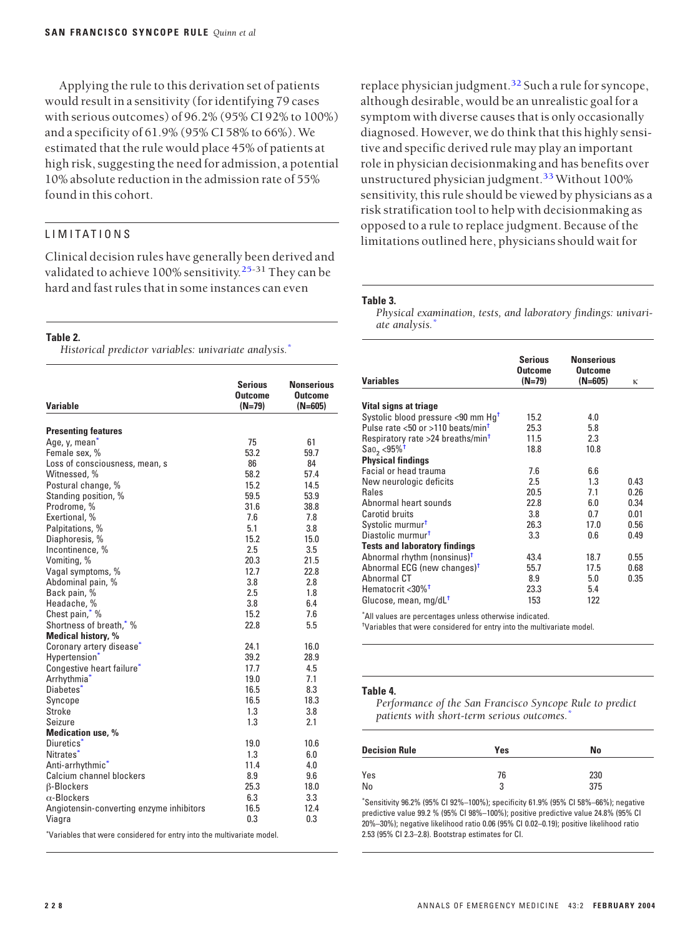<span id="page-4-0"></span>Applying the rule to this derivation set of patients would result in a sensitivity (for identifying 79 cases with serious outcomes) of 96.2% (95% CI 92% to 100%) and a specificity of 61.9% (95% CI 58% to 66%). We estimated that the rule would place 45% of patients at high risk, suggesting the need for admission, a potential 10% absolute reduction in the admission rate of 55% found in this cohort.

# LIMITATIONS

Clinical decision rules have generally been derived and validated to achieve 100% sensitivity. [25-3](#page-7-0)1 They can be hard and fast rules that in some instances can even

## **Table 2.**

*Historical predictor variables: univariate analysis. \**

| <b>Variable</b>                                                                                                                                                                                                                | <b>Serious</b><br><b>Outcome</b><br>$(N=79)$ | <b>Nonserious</b><br><b>Outcome</b><br>$(N=605)$ |
|--------------------------------------------------------------------------------------------------------------------------------------------------------------------------------------------------------------------------------|----------------------------------------------|--------------------------------------------------|
| <b>Presenting features</b>                                                                                                                                                                                                     |                                              |                                                  |
| Age, y, mean*                                                                                                                                                                                                                  | 75                                           | 61                                               |
| Female sex, %                                                                                                                                                                                                                  | 53.2                                         | 59.7                                             |
| Loss of consciousness, mean, s                                                                                                                                                                                                 | 86                                           | 84                                               |
| Witnessed, %                                                                                                                                                                                                                   | 58.2                                         | 57.4                                             |
| Postural change, %                                                                                                                                                                                                             | 15.2                                         | 14.5                                             |
| Standing position, %                                                                                                                                                                                                           | 59.5                                         | 53.9                                             |
| Prodrome, %                                                                                                                                                                                                                    | 31.6                                         | 38.8                                             |
| Exertional, %                                                                                                                                                                                                                  | 7.6                                          | 7.8                                              |
| Palpitations, %                                                                                                                                                                                                                | 5.1                                          | 3.8                                              |
| Diaphoresis, %                                                                                                                                                                                                                 | 15.2                                         | 15.0                                             |
| Incontinence, %                                                                                                                                                                                                                | 2.5                                          | 3.5                                              |
| Vomiting, %                                                                                                                                                                                                                    | 20.3                                         | 21.5                                             |
| Vagal symptoms, %                                                                                                                                                                                                              | 12.7                                         | 22.8                                             |
| Abdominal pain, %                                                                                                                                                                                                              | 3.8                                          | 2.8                                              |
| Back pain, %                                                                                                                                                                                                                   | 2.5                                          | 1.8                                              |
| Headache, %                                                                                                                                                                                                                    | 3.8                                          | 6.4                                              |
| Chest pain,* %                                                                                                                                                                                                                 | 15.2                                         | 7.6                                              |
| Shortness of breath,* %                                                                                                                                                                                                        | 22.8                                         | 5.5                                              |
| Medical history, %                                                                                                                                                                                                             |                                              |                                                  |
| Coronary artery disease <sup>*</sup>                                                                                                                                                                                           | 24.1                                         | 16.0                                             |
| Hypertension*                                                                                                                                                                                                                  | 39.2                                         | 28.9                                             |
| Congestive heart failure <sup>*</sup>                                                                                                                                                                                          | 17.7                                         | 4.5                                              |
| Arrhythmia <sup>*</sup>                                                                                                                                                                                                        | 19.0                                         | 7.1                                              |
| Diabetes <sup>*</sup>                                                                                                                                                                                                          | 16.5                                         | 8.3                                              |
| Syncope                                                                                                                                                                                                                        | 16.5                                         | 18.3                                             |
| <b>Stroke</b>                                                                                                                                                                                                                  | 1.3                                          | 3.8                                              |
| Seizure                                                                                                                                                                                                                        | 1.3                                          | 2.1                                              |
| Medication use, %                                                                                                                                                                                                              |                                              |                                                  |
| Diuretics*                                                                                                                                                                                                                     | 19.0                                         | 10.6                                             |
| Nitrates <sup>*</sup>                                                                                                                                                                                                          | 1.3                                          | 6.0                                              |
| Anti-arrhythmic*                                                                                                                                                                                                               | 11.4                                         | 4.0                                              |
| Calcium channel blockers                                                                                                                                                                                                       | 8.9                                          | 9.6                                              |
| <b>B-Blockers</b>                                                                                                                                                                                                              | 25.3                                         | 18.0                                             |
| $\alpha$ -Blockers                                                                                                                                                                                                             | 6.3                                          | 3.3                                              |
| Angiotensin-converting enzyme inhibitors                                                                                                                                                                                       | 16.5                                         | 12.4                                             |
| Viagra                                                                                                                                                                                                                         | 0.3                                          | 0.3                                              |
| If a shake a shake a sheare a shake a shake a shake the shake shake and shake a shake the shake shake the shake shake shake shake shake shake shake shake shake shake shake shake shake shake shake shake shake shake shake sh |                                              |                                                  |

\* Variables that were considered for entry into the multivariate model.

replace physician judgment.<sup>[32](#page-7-0)</sup> Such a rule for syncope, although desirable, would be an unrealistic goal for a symptom with diverse causes that is only occasionally diagnosed. However, we do think that this highly sensitive and specific derived rule may play an important role in physician decisionmaking and has benefits over unstructured physician judgment.<sup>[33](#page-7-0)</sup> Without 100% sensitivity, this rule should be viewed by physicians as a risk stratification tool to help with decisionmaking as opposed to a rule to replace judgment. Because of the limitations outlined here, physicians should wait for

## **Table 3.**

*Physical examination, tests, and laboratory findings: univariate analysis.\**

| <b>Variables</b>                               | <b>Serious</b><br><b>Outcome</b><br>$(N=79)$ | <b>Nonserious</b><br><b>Outcome</b><br>$(N=605)$ | к    |
|------------------------------------------------|----------------------------------------------|--------------------------------------------------|------|
| Vital signs at triage                          |                                              |                                                  |      |
| Systolic blood pressure <90 mm Hq <sup>+</sup> | 15.2                                         | 4.0                                              |      |
| Pulse rate <50 or >110 beats/min <sup>t</sup>  | 25.3                                         | 5.8                                              |      |
| Respiratory rate >24 breaths/min <sup>t</sup>  | 11.5                                         | 2.3                                              |      |
| $Sao, <95\%$ <sup>†</sup>                      | 18.8                                         | 10.8                                             |      |
| <b>Physical findings</b>                       |                                              |                                                  |      |
| Facial or head trauma                          | 7.6                                          | 6.6                                              |      |
| New neurologic deficits                        | 2.5                                          | 1.3                                              | 0.43 |
| Rales                                          | 20.5                                         | 7.1                                              | 0.26 |
| Abnormal heart sounds                          | 22.8                                         | 6.0                                              | 0.34 |
| Carotid bruits                                 | 3.8                                          | 0.7                                              | 0.01 |
| Systolic murmur <sup>t</sup>                   | 26.3                                         | 17.0                                             | 0.56 |
| Diastolic murmur <sup>t</sup>                  | 3.3                                          | 0.6                                              | 0.49 |
| <b>Tests and laboratory findings</b>           |                                              |                                                  |      |
| Abnormal rhythm (nonsinus) <sup>†</sup>        | 43.4                                         | 18.7                                             | 0.55 |
| Abnormal ECG (new changes) <sup>†</sup>        | 55.7                                         | 17.5                                             | 0.68 |
| Abnormal CT                                    | 8.9                                          | 5.0                                              | 0.35 |
| Hematocrit <30% <sup>†</sup>                   | 23.3                                         | 5.4                                              |      |
| Glucose, mean, mg/dL <sup>+</sup>              | 153                                          | 122                                              |      |

\* All values are percentages unless otherwise indicated.

† Variables that were considered for entry into the multivariate model.

#### **Table 4.**

*Performance of the San Francisco Syncope Rule to predict patients with short-term serious outcomes. \**

| <b>Decision Rule</b> | Yes | No  |  |
|----------------------|-----|-----|--|
|                      |     |     |  |
| Yes                  | 76  | 230 |  |
| No                   | 3   | 375 |  |
|                      |     |     |  |

\* Sensitivity 96.2% (95% CI 92%–100%); specificity 61.9% (95% CI 58%–66%); negative predictive value 99.2 % (95% CI 98%–100%); positive predictive value 24.8% (95% CI 20%–30%); negative likelihood ratio 0.06 (95% CI 0.02–0.19); positive likelihood ratio 2.53 (95% CI 2.3–2.8). Bootstrap estimates for CI.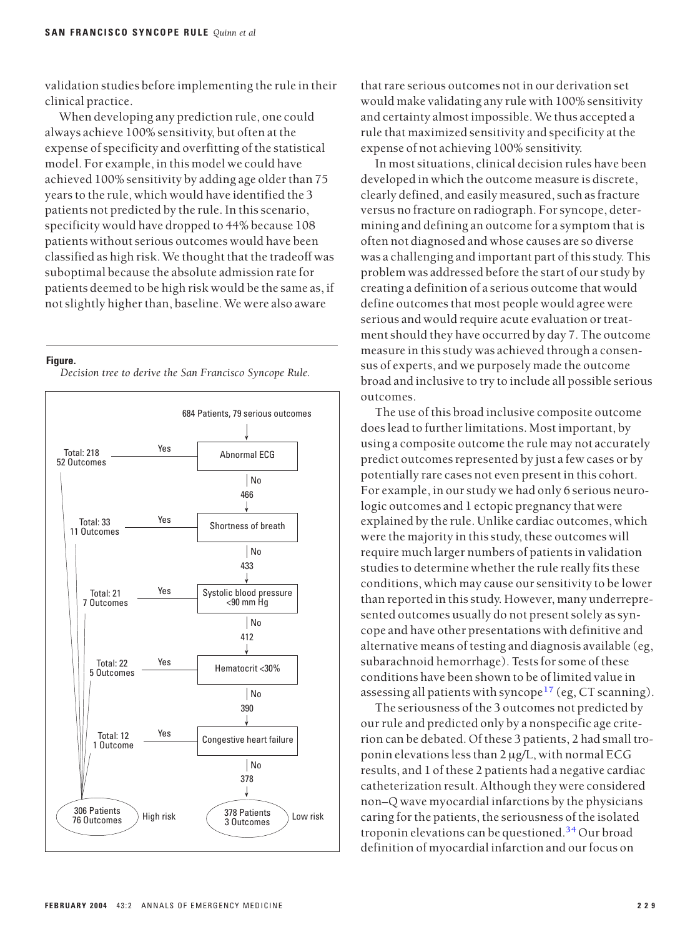<span id="page-5-0"></span>validation studies before implementing the rule in their clinical practice.

When developing any prediction rule, one could always achieve 100% sensitivity, but often at the expense of specificity and overfitting of the statistical model. For example, in this model we could have achieved 100% sensitivity by adding age older than 75 years to the rule, which would have identified the 3 patients not predicted by the rule. In this scenario, specificity would have dropped to 44% because 108 patients without serious outcomes would have been classified as high risk. We thought that the tradeoff was suboptimal because the absolute admission rate for patients deemed to be high risk would be the same as, if not slightly higher than, baseline. We were also aware

#### **Figure.**

*Decision tree to derive the San Francisco Syncope Rule.*



that rare serious outcomes not in our derivation set would make validating any rule with 100% sensitivity and certainty almost impossible. We thus accepted a rule that maximized sensitivity and specificity at the expense of not achieving 100% sensitivity.

In most situations, clinical decision rules have been developed in which the outcome measure is discrete, clearly defined, and easily measured, such as fracture versus no fracture on radiograph. For syncope, determining and defining an outcome for a symptom that is often not diagnosed and whose causes are so diverse was a challenging and important part of this study. This problem was addressed before the start of our study by creating a definition of a serious outcome that would define outcomes that most people would agree were serious and would require acute evaluation or treatment should they have occurred by day 7. The outcome measure in this study was achieved through a consensus of experts, and we purposely made the outcome broad and inclusive to try to include all possible serious outcomes.

The use of this broad inclusive composite outcome does lead to further limitations. Most important, by using a composite outcome the rule may not accurately predict outcomes represented by just a few cases or by potentially rare cases not even present in this cohort. For example, in our study we had only 6 serious neurologic outcomes and 1 ectopic pregnancy that were explained by the rule. Unlike cardiac outcomes, which were the majority in this study, these outcomes will require much larger numbers of patients in validation studies to determine whether the rule really fits these conditions, which may cause our sensitivity to be lower than reported in this study. However, many underrepresented outcomes usually do not present solely as syncope and have other presentations with definitive and alternative means of testing and diagnosis available (eg, subarachnoid hemorrhage). Tests for some of these conditions have been shown to be of limited value in assessing all patients with syncope<sup>[17](#page-7-0)</sup> (eg, CT scanning).

The seriousness of the 3 outcomes not predicted by our rule and predicted only by a nonspecific age criterion can be debated. Of these 3 patients, 2 had small troponin elevations less than 2 µg/L, with normal ECG results, and 1 of these 2 patients had a negative cardiac catheterization result. Although they were considered non–Q wave myocardial infarctions by the physicians caring for the patients, the seriousness of the isolated troponin elevations can be questioned.[34](#page-7-0) Our broad definition of myocardial infarction and our focus on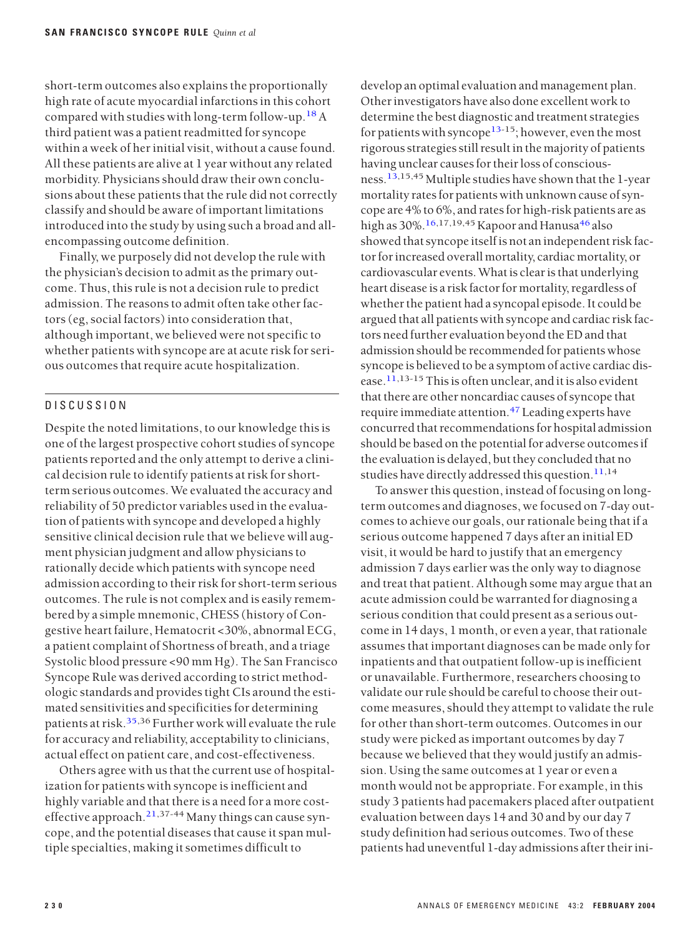short-term outcomes also explains the proportionally high rate of acute myocardial infarctions in this cohort compared with studies with long-term follow-up.[18](#page-7-0)A third patient was a patient readmitted for syncope within a week of her initial visit, without a cause found. All these patients are alive at 1 year without any related morbidity. Physicians should draw their own conclusions about these patients that the rule did not correctly classify and should be aware of important limitations introduced into the study by using such a broad and allencompassing outcome definition.

Finally, we purposely did not develop the rule with the physician's decision to admit as the primary outcome. Thus, this rule is not a decision rule to predict admission. The reasons to admit often take other factors (eg, social factors) into consideration that, although important, we believed were not specific to whether patients with syncope are at acute risk for serious outcomes that require acute hospitalization.

# DISCUSSION

Despite the noted limitations, to our knowledge this is one of the largest prospective cohort studies of syncope patients reported and the only attempt to derive a clinical decision rule to identify patients at risk for shortterm serious outcomes. We evaluated the accuracy and reliability of 50 predictor variables used in the evaluation of patients with syncope and developed a highly sensitive clinical decision rule that we believe will augment physician judgment and allow physicians to rationally decide which patients with syncope need admission according to their risk for short-term serious outcomes. The rule is not complex and is easily remembered by a simple mnemonic, CHESS (history of Congestive heart failure, Hematocrit <30%, abnormal ECG, a patient complaint of Shortness of breath, and a triage Systolic blood pressure <90 mm Hg). The San Francisco Syncope Rule was derived according to strict methodologic standards and provides tight CIs around the estimated sensitivities and specificities for determining patients at risk.<sup>[35,3](#page-8-0)6</sup> Further work will evaluate the rule for accuracy and reliability, acceptability to clinicians, actual effect on patient care, and cost-effectiveness.

Others agree with us that the current use of hospitalization for patients with syncope is inefficient and highly variable and that there is a need for a more cost-effective approach.<sup>[21,](#page-7-0)37-44</sup> Many things can cause syncope, and the potential diseases that cause it span multiple specialties, making it sometimes difficult to

develop an optimal evaluation and management plan. Other investigators have also done excellent work to determine the best diagnostic and treatment strategies for patients with syncope<sup>[13-1](#page-7-0)5</sup>; however, even the most rigorous strategies still result in the majority of patients having unclear causes for their loss of conscious-ness.<sup>[13,](#page-7-0)15,45</sup> Multiple studies have shown that the 1-year mortality rates for patients with unknown cause of syncope are 4% to 6%, and rates for high-risk patients are as high as  $30\%$ .<sup>[16,1](#page-7-0)7,19,45</sup> Kapoor and Hanusa<sup>[46](#page-8-0)</sup> also showed that syncope itself is not an independent risk factor for increased overall mortality, cardiac mortality, or cardiovascular events. What is clear is that underlying heart disease is a risk factor for mortality, regardless of whether the patient had a syncopal episode. It could be argued that all patients with syncope and cardiac risk factors need further evaluation beyond the ED and that admission should be recommended for patients whose syncope is believed to be a symptom of active cardiac dis-ease.<sup>[11,1](#page-7-0)3-15</sup> This is often unclear, and it is also evident that there are other noncardiac causes of syncope that require immediate attention.[47](#page-8-0) Leading experts have concurred that recommendations for hospital admission should be based on the potential for adverse outcomes if the evaluation is delayed, but they concluded that no studies have directly addressed this question. [11,](#page-7-0)14

To answer this question, instead of focusing on longterm outcomes and diagnoses, we focused on 7-day outcomes to achieve our goals, our rationale being that if a serious outcome happened 7 days after an initial ED visit, it would be hard to justify that an emergency admission 7 days earlier was the only way to diagnose and treat that patient. Although some may argue that an acute admission could be warranted for diagnosing a serious condition that could present as a serious outcome in 14 days, 1 month, or even a year, that rationale assumes that important diagnoses can be made only for inpatients and that outpatient follow-up is inefficient or unavailable. Furthermore, researchers choosing to validate our rule should be careful to choose their outcome measures, should they attempt to validate the rule for other than short-term outcomes. Outcomes in our study were picked as important outcomes by day 7 because we believed that they would justify an admission. Using the same outcomes at 1 year or even a month would not be appropriate. For example, in this study 3 patients had pacemakers placed after outpatient evaluation between days 14 and 30 and by our day 7 study definition had serious outcomes. Two of these patients had uneventful 1-day admissions after their ini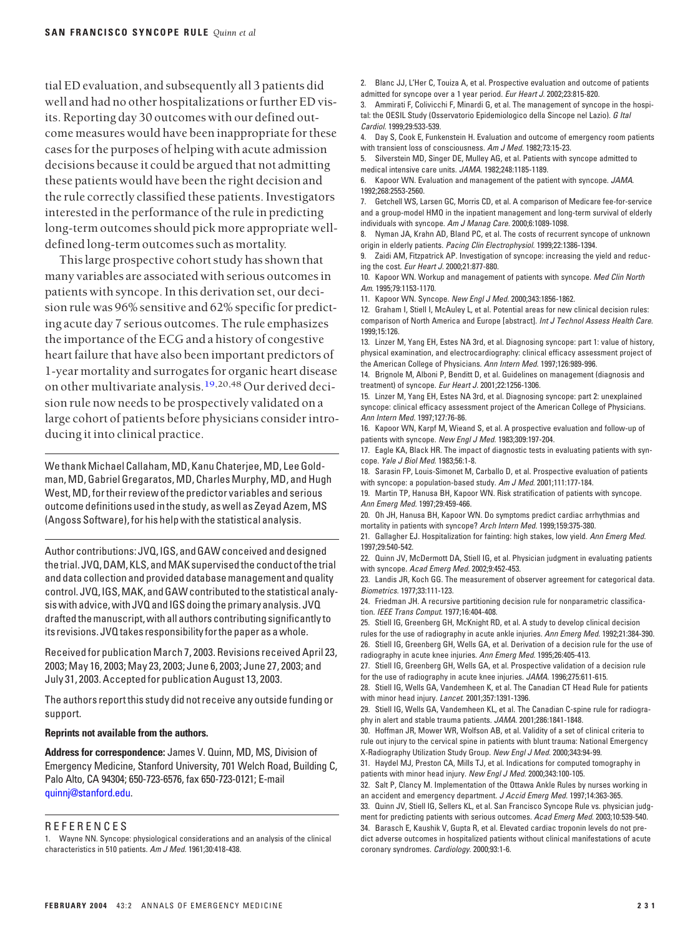<span id="page-7-0"></span>tial ED evaluation, and subsequently all 3 patients did well and had no other hospitalizations or further ED visits. Reporting day 30 outcomes with our defined outcome measures would have been inappropriate for these cases for the purposes of helping with acute admission decisions because it could be argued that not admitting these patients would have been the right decision and the rule correctly classified these patients. Investigators interested in the performance of the rule in predicting long-term outcomes should pick more appropriate welldefined long-term outcomes such as mortality.

This large prospective cohort study has shown that many variables are associated with serious outcomes in patients with syncope. In this derivation set, our decision rule was 96% sensitive and 62% specific for predicting acute day 7 serious outcomes. The rule emphasizes the importance of the ECG and a history of congestive heart failure that have also been important predictors of 1-year mortality and surrogates for organic heart disease on other multivariate analysis.<sup>19,20,48</sup> Our derived decision rule now needs to be prospectively validated on a large cohort of patients before physicians consider introducing it into clinical practice.

We thank Michael Callaham, MD, Kanu Chaterjee, MD, Lee Goldman, MD, Gabriel Gregaratos, MD, Charles Murphy, MD, and Hugh West, MD, for their review of the predictor variables and serious outcome definitions used in the study, as well as Zeyad Azem, MS (Angoss Software), for his help with the statistical analysis.

Author contributions: JVQ, IGS, and GAW conceived and designed the trial. JVQ, DAM, KLS, and MAK supervised the conduct of the trial and data collection and provided database management and quality control. JVQ, IGS, MAK, and GAW contributed to the statistical analysis with advice, with JVQ and IGS doing the primary analysis. JVQ drafted the manuscript, with all authors contributing significantly to its revisions. JVQ takes responsibility for the paper as a whole.

Received for publication March 7, 2003. Revisions received April 23, 2003; May 16, 2003; May 23, 2003; June 6, 2003; June 27, 2003; and July 31, 2003. Accepted for publication August 13, 2003.

The authors report this study did not receive any outside funding or support.

## **Reprints not available from the authors.**

**Address for correspondence:** James V. Quinn, MD, MS, Division of Emergency Medicine, Stanford University, 701 Welch Road, Building C, Palo Alto, CA 94304; 650-723-6576, fax 650-723-0121; E-mail [quinnj@stanford.edu.](mailto:quinnj@stanford.edu)

#### REFERENCES

1. Wayne NN. Syncope: physiological considerations and an analysis of the clinical characteristics in 510 patients. Am J Med. 1961;30:418-438.

2. Blanc JJ, L'Her C, Touiza A, et al. Prospective evaluation and outcome of patients admitted for syncope over a 1 year period. Eur Heart J. 2002;23:815-820.

3. Ammirati F, Colivicchi F, Minardi G, et al. The management of syncope in the hospital: the OESIL Study (Osservatorio Epidemiologico della Sincope nel Lazio). G Ital Cardiol. 1999;29:533-539.

4. Day S, Cook E, Funkenstein H. Evaluation and outcome of emergency room patients with transient loss of consciousness. Am J Med. 1982;73:15-23.

5. Silverstein MD, Singer DE, Mulley AG, et al. Patients with syncope admitted to medical intensive care units. JAMA. 1982;248:1185-1189.

6. Kapoor WN. Evaluation and management of the patient with syncope. JAMA. 1992;268:2553-2560.

7. Getchell WS, Larsen GC, Morris CD, et al. A comparison of Medicare fee-for-service and a group-model HMO in the inpatient management and long-term survival of elderly individuals with syncope. Am J Manag Care. 2000;6:1089-1098.

Nyman JA, Krahn AD, Bland PC, et al. The costs of recurrent syncope of unknown origin in elderly patients. Pacing Clin Electrophysiol. 1999;22:1386-1394.

Zaidi AM, Fitzpatrick AP. Investigation of syncope: increasing the yield and reducing the cost. Eur Heart J. 2000;21:877-880.

10. Kapoor WN. Workup and management of patients with syncope. Med Clin North Am. 1995;79:1153-1170.

11. Kapoor WN. Syncope. New Engl J Med. 2000;343:1856-1862.

12. Graham I, Stiell I, McAuley L, et al. Potential areas for new clinical decision rules: comparison of North America and Europe [abstract]. Int J Technol Assess Health Care. 1999;15:126.

13. Linzer M, Yang EH, Estes NA 3rd, et al. Diagnosing syncope: part 1: value of history, physical examination, and electrocardiography: clinical efficacy assessment project of the American College of Physicians. Ann Intern Med. 1997;126:989-996.

14. Brignole M, Alboni P, Benditt D, et al. Guidelines on management (diagnosis and treatment) of syncope. Eur Heart J. 2001;22:1256-1306.

15. Linzer M, Yang EH, Estes NA 3rd, et al. Diagnosing syncope: part 2: unexplained syncope: clinical efficacy assessment project of the American College of Physicians. Ann Intern Med. 1997;127:76-86.

16. Kapoor WN, Karpf M, Wieand S, et al. A prospective evaluation and follow-up of patients with syncope. New Engl J Med. 1983;309:197-204.

17. Eagle KA, Black HR. The impact of diagnostic tests in evaluating patients with syncope. Yale J Biol Med. 1983;56:1-8.

18. Sarasin FP, Louis-Simonet M, Carballo D, et al. Prospective evaluation of patients with syncope: a population-based study. Am J Med. 2001;111:177-184.

19. Martin TP, Hanusa BH, Kapoor WN. Risk stratification of patients with syncope. Ann Emerg Med. 1997;29:459-466.

20. Oh JH, Hanusa BH, Kapoor WN. Do symptoms predict cardiac arrhythmias and mortality in patients with syncope? Arch Intern Med. 1999;159:375-380.

21. Gallagher EJ. Hospitalization for fainting: high stakes, low yield. Ann Emerg Med. 1997;29:540-542.

22. Quinn JV, McDermott DA, Stiell IG, et al. Physician judgment in evaluating patients with syncope. Acad Emerg Med. 2002;9:452-453.

23. Landis JR, Koch GG. The measurement of observer agreement for categorical data. Biometrics. 1977;33:111-123.

24. Friedman JH. A recursive partitioning decision rule for nonparametric classification. IEEE Trans Comput. 1977;16:404-408.

25. Stiell IG, Greenberg GH, McKnight RD, et al. A study to develop clinical decision rules for the use of radiography in acute ankle injuries. Ann Emerg Med. 1992;21:384-390. 26. Stiell IG, Greenberg GH, Wells GA, et al. Derivation of a decision rule for the use of radiography in acute knee injuries. Ann Emerg Med. 1995;26:405-413.

27. Stiell IG, Greenberg GH, Wells GA, et al. Prospective validation of a decision rule for the use of radiography in acute knee injuries. JAMA. 1996;275:611-615.

28. Stiell IG, Wells GA, Vandemheen K, et al. The Canadian CT Head Rule for patients with minor head injury. Lancet. 2001;357:1391-1396.

29. Stiell IG, Wells GA, Vandemheen KL, et al. The Canadian C-spine rule for radiography in alert and stable trauma patients. JAMA. 2001;286:1841-1848.

30. Hoffman JR, Mower WR, Wolfson AB, et al. Validity of a set of clinical criteria to rule out injury to the cervical spine in patients with blunt trauma: National Emergency X-Radiography Utilization Study Group. New Engl J Med. 2000;343:94-99.

31. Haydel MJ, Preston CA, Mills TJ, et al. Indications for computed tomography in patients with minor head injury. New Engl J Med. 2000;343:100-105.

32. Salt P, Clancy M. Implementation of the Ottawa Ankle Rules by nurses working in an accident and emergency department. J Accid Emerg Med. 1997;14:363-365.

33. Quinn JV, Stiell IG, Sellers KL, et al. San Francisco Syncope Rule vs. physician judgment for predicting patients with serious outcomes. Acad Emerg Med. 2003;10:539-540. 34. Barasch E, Kaushik V, Gupta R, et al. Elevated cardiac troponin levels do not predict adverse outcomes in hospitalized patients without clinical manifestations of acute coronary syndromes. Cardiology. 2000;93:1-6.